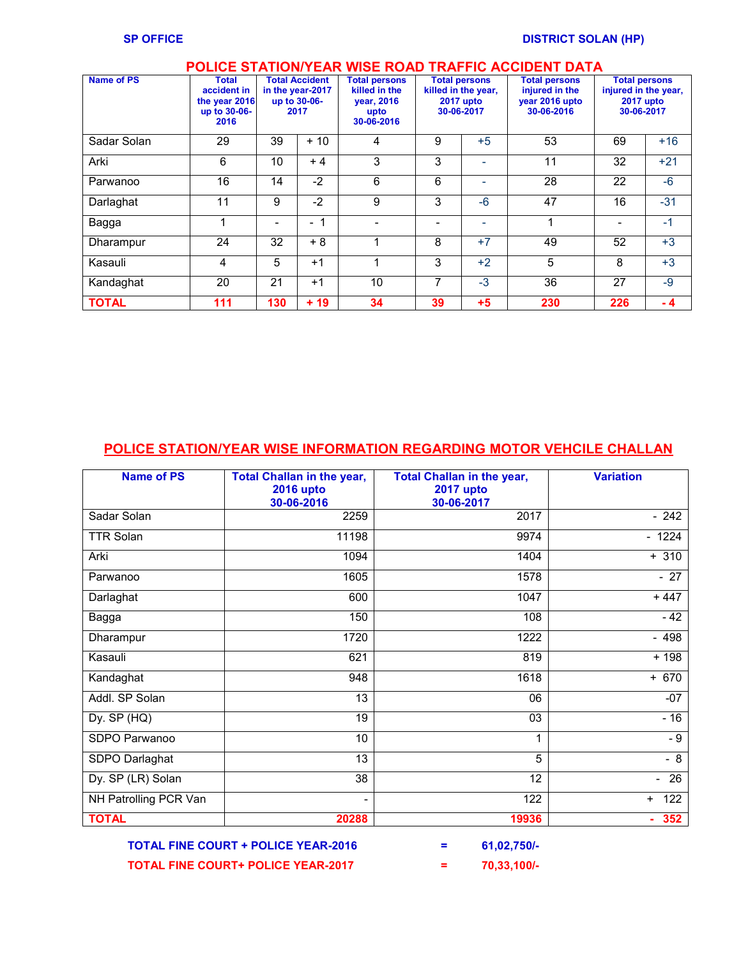## **POLICE STATION/YEAR WISE ROAD TRAFFIC ACCIDENT DATA**

| <b>Name of PS</b> | <b>Total</b><br>accident in<br>the year 2016<br>up to 30-06-<br>2016 |     | <b>Total Accident</b><br>in the year-2017<br>up to 30-06-<br>2017 | <b>Total persons</b><br>killed in the<br>vear, 2016<br>upto<br>30-06-2016 | <b>Total persons</b><br>killed in the year,<br><b>2017 upto</b><br>30-06-2017 |      | <b>Total persons</b><br>injured in the<br>year 2016 upto<br>30-06-2016 | <b>Total persons</b><br>injured in the year,<br>2017 upto<br>30-06-2017 |       |
|-------------------|----------------------------------------------------------------------|-----|-------------------------------------------------------------------|---------------------------------------------------------------------------|-------------------------------------------------------------------------------|------|------------------------------------------------------------------------|-------------------------------------------------------------------------|-------|
| Sadar Solan       | 29                                                                   | 39  | $+10$                                                             | 4                                                                         | 9                                                                             | $+5$ | 53                                                                     | 69                                                                      | $+16$ |
| Arki              | 6                                                                    | 10  | $+4$                                                              | 3                                                                         | 3                                                                             | ۰    | 11                                                                     | 32                                                                      | $+21$ |
| Parwanoo          | 16                                                                   | 14  | $-2$                                                              | 6                                                                         | 6                                                                             | -    | 28                                                                     | 22                                                                      | $-6$  |
| Darlaghat         | 11                                                                   | 9   | $-2$                                                              | 9                                                                         | 3                                                                             | $-6$ | 47                                                                     | 16                                                                      | $-31$ |
| Bagga             |                                                                      |     | $\overline{\phantom{a}}$                                          |                                                                           | $\overline{\phantom{0}}$                                                      | -    |                                                                        |                                                                         | $-1$  |
| Dharampur         | 24                                                                   | 32  | $+8$                                                              | 1                                                                         | 8                                                                             | $+7$ | 49                                                                     | 52                                                                      | $+3$  |
| Kasauli           | 4                                                                    | 5   | $+1$                                                              | 1                                                                         | 3                                                                             | $+2$ | 5                                                                      | 8                                                                       | $+3$  |
| Kandaghat         | 20                                                                   | 21  | $+1$                                                              | 10                                                                        | 7                                                                             | $-3$ | 36                                                                     | 27                                                                      | $-9$  |
| <b>TOTAL</b>      | 111                                                                  | 130 | $+19$                                                             | 34                                                                        | 39                                                                            | $+5$ | 230                                                                    | 226                                                                     | - 4   |

## **POLICE STATION/YEAR WISE INFORMATION REGARDING MOTOR VEHCILE CHALLAN**

| <b>Name of PS</b>     | <b>Total Challan in the year,</b><br><b>2016 upto</b><br>30-06-2016 | <b>Total Challan in the year,</b><br><b>2017 upto</b><br>30-06-2017 | <b>Variation</b>               |  |
|-----------------------|---------------------------------------------------------------------|---------------------------------------------------------------------|--------------------------------|--|
| Sadar Solan           | 2259                                                                | 2017                                                                | $-242$                         |  |
| <b>TTR Solan</b>      | 11198                                                               | 9974                                                                | $-1224$                        |  |
| Arki                  | 1094                                                                | 1404                                                                | $+310$                         |  |
| Parwanoo              | 1605                                                                | 1578                                                                | $-27$                          |  |
| Darlaghat             | 600                                                                 | 1047                                                                | $+447$                         |  |
| Bagga                 | 150                                                                 | 108                                                                 | $-42$                          |  |
| Dharampur             | 1720                                                                | 1222                                                                | $-498$                         |  |
| Kasauli               | 621                                                                 | 819                                                                 | $+198$                         |  |
| Kandaghat             | 948                                                                 | 1618                                                                | $+ 670$                        |  |
| Addl. SP Solan        | 13                                                                  | 06                                                                  | $-07$                          |  |
| Dy. SP (HQ)           | 19                                                                  | 03                                                                  | $-16$                          |  |
| SDPO Parwanoo         | 10                                                                  | 1                                                                   | - 9                            |  |
| SDPO Darlaghat        | 13                                                                  | $\overline{5}$                                                      | $-8$                           |  |
| Dy. SP (LR) Solan     | 38                                                                  | 12                                                                  | 26<br>$\overline{\phantom{0}}$ |  |
| NH Patrolling PCR Van | $\overline{\phantom{0}}$                                            | $\overline{122}$                                                    | 122<br>$+$                     |  |
| <b>TOTAL</b>          | 20288                                                               | 19936                                                               | 352<br>٠                       |  |

 **TOTAL FINE COURT + POLICE YEAR-2016 = 61,02,750/- TOTAL FINE COURT+ POLICE YEAR-2017 = 70,33,100/-**